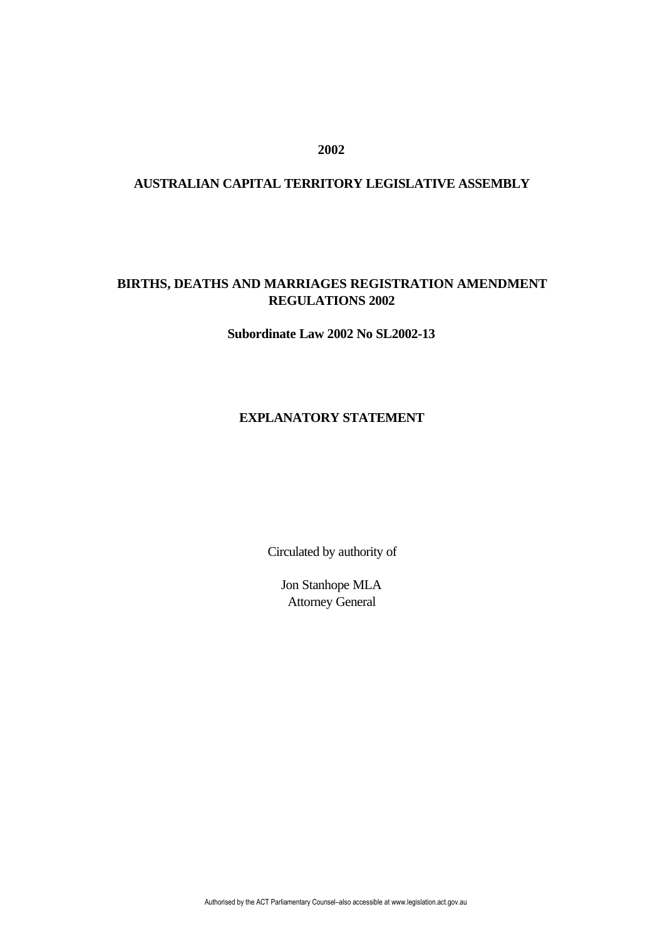## **2002**

## **AUSTRALIAN CAPITAL TERRITORY LEGISLATIVE ASSEMBLY**

# **BIRTHS, DEATHS AND MARRIAGES REGISTRATION AMENDMENT REGULATIONS 2002**

**Subordinate Law 2002 No SL2002-13**

#### **EXPLANATORY STATEMENT**

Circulated by authority of

Jon Stanhope MLA Attorney General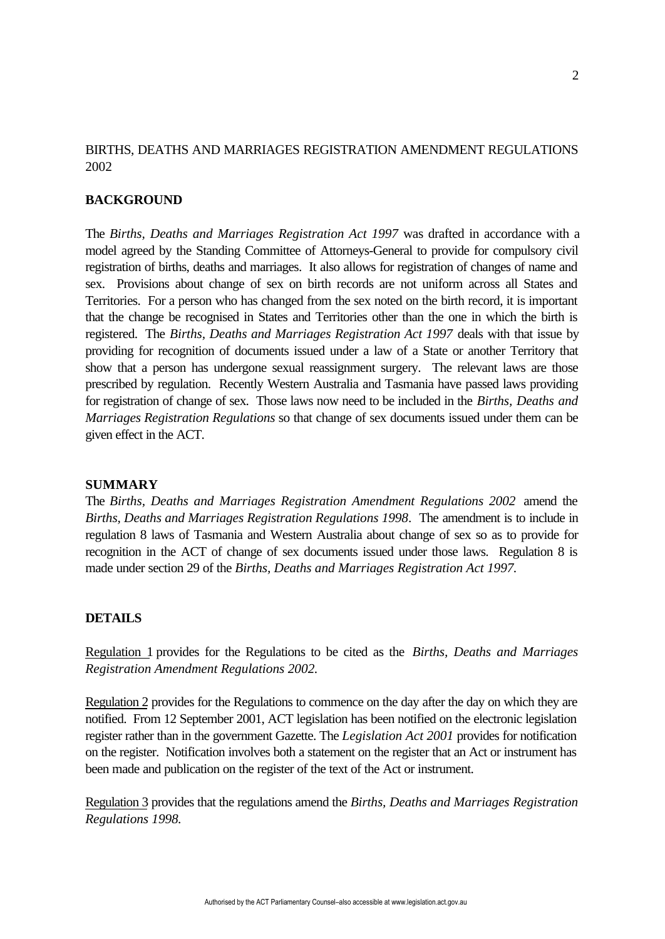## BIRTHS, DEATHS AND MARRIAGES REGISTRATION AMENDMENT REGULATIONS 2002

### **BACKGROUND**

The *Births, Deaths and Marriages Registration Act 1997* was drafted in accordance with a model agreed by the Standing Committee of Attorneys-General to provide for compulsory civil registration of births, deaths and marriages. It also allows for registration of changes of name and sex. Provisions about change of sex on birth records are not uniform across all States and Territories. For a person who has changed from the sex noted on the birth record, it is important that the change be recognised in States and Territories other than the one in which the birth is registered. The *Births, Deaths and Marriages Registration Act 1997* deals with that issue by providing for recognition of documents issued under a law of a State or another Territory that show that a person has undergone sexual reassignment surgery. The relevant laws are those prescribed by regulation. Recently Western Australia and Tasmania have passed laws providing for registration of change of sex. Those laws now need to be included in the *Births, Deaths and Marriages Registration Regulations* so that change of sex documents issued under them can be given effect in the ACT.

#### **SUMMARY**

The *Births, Deaths and Marriages Registration Amendment Regulations 2002* amend the *Births, Deaths and Marriages Registration Regulations 1998*. The amendment is to include in regulation 8 laws of Tasmania and Western Australia about change of sex so as to provide for recognition in the ACT of change of sex documents issued under those laws. Regulation 8 is made under section 29 of the *Births, Deaths and Marriages Registration Act 1997.*

#### **DETAILS**

Regulation 1 provides for the Regulations to be cited as the *Births, Deaths and Marriages Registration Amendment Regulations 2002.*

Regulation 2 provides for the Regulations to commence on the day after the day on which they are notified. From 12 September 2001, ACT legislation has been notified on the electronic legislation register rather than in the government Gazette. The *Legislation Act 2001* provides for notification on the register. Notification involves both a statement on the register that an Act or instrument has been made and publication on the register of the text of the Act or instrument.

Regulation 3 provides that the regulations amend the *Births, Deaths and Marriages Registration Regulations 1998.*